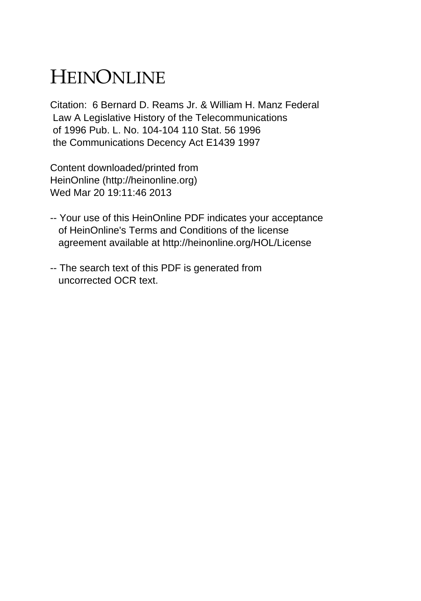# HEINONLINE

Citation: 6 Bernard D. Reams Jr. & William H. Manz Federal Law A Legislative History of the Telecommunications of 1996 Pub. L. No. 104-104 110 Stat. 56 1996 the Communications Decency Act E1439 1997

Content downloaded/printed from HeinOnline (http://heinonline.org) Wed Mar 20 19:11:46 2013

- -- Your use of this HeinOnline PDF indicates your acceptance of HeinOnline's Terms and Conditions of the license agreement available at http://heinonline.org/HOL/License
- -- The search text of this PDF is generated from uncorrected OCR text.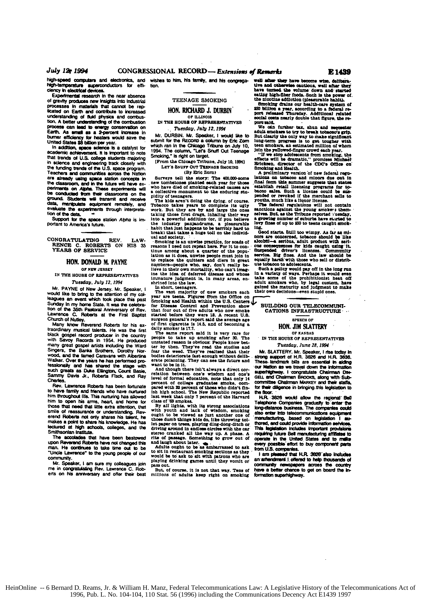high-temperature superconductors for effi-<br>ciency in electrical devices.

Experimental research in the near absence of gravity produces new insights into industrial es in materials that cannot be replicated on Earth and contribute to increased understanding of fluid physics and combustion. A better understanding of the combustion<br>process can lead to energy conservation on Earth. As a medi as a 2-percent increase in<br>burner efficiency for heaters would save the<br>United States \$9 billion per year.

In addition, space science is a catalyst for emic achievement. It is important to note that trends of U.S. college students majoring in science and engineering track closely with the funding trends of the U.S. space program. Teachers and communities across the Nation are already using space station concepts in performants on Alpha. These experiments will<br>be conducted from their classrooms on the be computed with the cassrooms on the<br>ground. Students will transmit and receive<br>data, manipulate equipment remotely, and<br>evaluate the experiments through interpretation of the data

Support for the space station Alpha is important to America's future.

**EXERCIT CONSTRUERT CONSTRUERT CONSTRUERT CONSTRUERT CONSTRUERT CONSTRUERT CONSTRUERT CONSTRUERT CONSTRUERT CONSTRUERT CONSTRUERT CONSTRUERT CONSTRUERT CONSTRUERT CONSTRUERT CONSTRUERT CONSTRUERT CONSTRUERT CONSTRUERT CONS** CONGRATULATING

#### HON. DONALD M. PAYNE OF NEW JERSEY

IN THE HOUSE OF REPRESENTATIVES Tuesday, July 12, 1994

Mr. PAYNE of New Jersey. Mr. Speaker, I

would like to bring to the attention of my col-<br>leagues an event which took place this past Survivaly in my home State. It was the celebration of the 35th Pastoral Anniversary of Rev.<br>Survivance C. Roberts at the First Baptist<br>Lawrence C. Roberts at the First Baptist<br>Church of Nutley.

Many know Reverend Roberts for his extraordinary musical talents. He was the first<br>black gospel record producer in the country with Savoy Records in 1954. He produced<br>many great gospel artists including the Ward Singers, the Banks Brothers, Dorothy Nor-<br>Wood, and the famed Caravans with Albertina<br>Walker. Over the years he has performed professionally and has shared the stage with such greats as Duke Ellington, Count Basie,<br>Sammy Davis Jr., Roberta Flack, and Ray Charle

Rev. Lawrence Roberts has been fortunate to have family and friends who have nurtured him throughout life. This nurturing has allowed him to open his arms, heart, and home for those that need that little extra attention, that smile of reassurance or understanding. Reverend Roberts not only shares his talent, he makes a point to share his knowledge. He has ectured at high schools, colleges, and the Smithsonian Institute

The accolades that have been bestowed upon Reverend Roberts have not changed this<br>man. He continues to take time out to be Uncle La wrence" to the young people of our community.<br>Mr. Speaker, I am sure my colleagues join

me in congratulating Rev. Lawrence C. Roberts on his anniversary and offer their best

high-speed computers and electronics, and wishes to him, his family, and his congregation.

# TEENAGE SMOKING

HON. RICHARD J. DURBIN OF ILLINOIS

### IN THE HOUSE OF REPRESENTATIVES Tuesday, July 12, 1994

Mr. DURBIN. Mr. Speaker, I would like to submit for the RECORD a column by Eric Zorn which ran in the Chicago Tribune on July 10,<br>1994. The column, "Let's Snuff Out Teenage Smoking," is right on target.

[From the Chicago Tribune, July 10, 1994] LET'S SNUFF OUT TESNAGE SMOKING

## (By Eric Zorn)

Surveys tell the story: The 400,000-some<br>new tombstones planted each year for those<br>who have died of smoking-related causes are collective monument to the enduring stuof tear --------<br>1820-19

pidity of teenagers.<br>The kids aren't doing the dying, of course.<br>The kids aren't doing the dying the ones<br>Tobacco takes years to complete its ugly<br>work. But they are by and large the ones<br>into a powerful addition (or, if y the industry pantandrums, a pleasurable<br>habit that just happens to be terribly hard to<br>break) that takes a huge toll on the individ-

contains and society. time among about a quarter of the population as it does, unvise people must join in<br>to replace the quitters and diers in great<br>numbers—pople who, easy, don't really be-<br>numbers—pople who, easy, doing the line<br>is like in th

In short, teenagers.

In short, teenagers.<br>The vast majority of new smokers each<br>year are teena. Pigures from the Office on<br>Smoking and Health within the U.S. Centers<br>for Disease Control and Prevention above<br>that four out of five adults who now of first cigarette is 14.5, and of becoming daily smoker is 17.7.<br>The same report said it is very rare for

The same report said it is very rare for<br>people to take up smoking after 30. The<br>unstated reason is obvious: People know between<br>the ter by then. They've read the studies and<br>tear the weed. They've read the studies and<br>bod

nu anual metre sin a wisystem and one's<br>relation between one's wisdom and one's<br>level of formal education, note that only 14<br>percent of college graduates since, com-<br>pared with 22 percent of those who didn't fin-<br>ish high

ish high school. The New Republic reported<br>in the last week that only 7 percent of the Harvard<br>class of '68 smokes.<br>High the strong associations<br>with youth and lack of wisdom, smoking<br>ought to be viewed as just another on those numer animates fitter on the payment of the payment of the payment in the case of the payment in and the control of the case of the state of passes. Something to grow out of the of passes. Something to grow out of th

to sit in restaurant smoking sections as they would be to ask to sit with patrons who are laying drinking games until they vomit or pass out.

pass out.<br>But, of course, it is not that way. Tens of<br>millions of adults keep right on smoking

well after they have become wise, deliberative and otherwise cautious, well after they have turned the volume down and started the view esting high-fiber foods. Such is the power of. the nicotine addiction (pleasurable habit)

curous sensors not construct the mother of the Smoking drains our health-care system of \$50 billion a year, according to a federal report released Thursday. Additional relations released Thursday. Additional relationship port said.

We can further tax, shun and sequester<br>adult smokes to try to treat to<br>hacodog grip. The clustery the only way to make significant<br>flunctions in the get coupler with our control of whom<br>ten more is to get to get the stars We oan further tax, shan and seems

establish retail intensioning programm for to-<br>bacco sales. Such a license could be superhed or revoked if the merchant sells to<br>youths, much like a liquor license.<br>The federal requisitions will not contain<br>sample of the s ing

ng.<br>Geod starts. Still too wimpy. As far as mi-<br>nors are concerned, tobacco should be like<br>alcohol--a serious, adult product with seriaccounting serious, accur product with series one consequences for kids caught using it.<br>Suspended driver's licenses. Community<br>service. Eig fines. And the law should be<br>equally hards with those who sell or distributed

equality harsh with those who sell or distributed to adolescents.<br>
"Such a policy would pay off in the long run<br>
in a variety of ways. Perhaps it would went<br>
that has a string of ways. Perhaps it would went<br>
take some of t

#### BUILDING OUR TELECOMMUNI-CATIONS INFRASTRUCTURE

# **SPRECH OF**

HON. JIM SLATTERY OF KANSAS

### IN THE HOUSE OF REPRESENTATIVES Tuesday, June 28, 1994

Mr. SLATTERY. Mr. Speaker, I rise today in strong support of H.R. 3626 and H.R. 3636.<br>These landmark bills are essential in aiding our Nation as we travel down the information superhighway. I congratulate Chairman DIH-<br>GELL and Chairman BROOKS, along with Subcommittee Chairman MARKEY and their staffs for their diligence in bringing this legislation to the finor

H.R. 3626 would allow the regional Bell Telephone Companies gradually to enter the<br>long-distance business. The companies could so enter into telecommunications equipment manufacturing, based on legislation | au-<br>thored, and could provide information services. state in the base includes important provisions<br>requiring future Bell manufacturing affiliates to<br>operate in the United States and to make every possible effort to buy component parts from U.S. companies.

a am pleased that H.R. 3826' also includes<br>an amendment I, offered to help thousands of community newspapers across the country<br>have a better chance to get on board the information superhighway.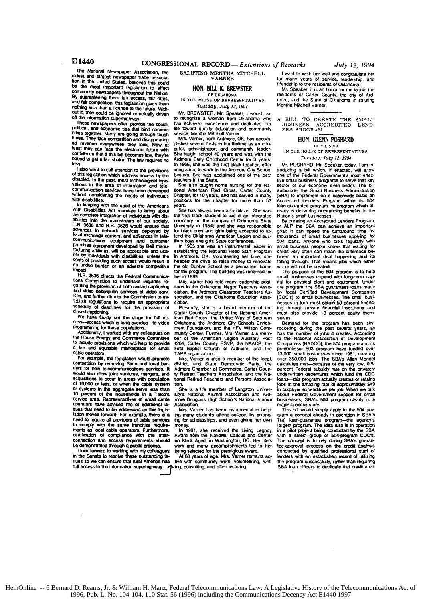The National Newspaper Association, the SALUTING MENTHA MITCHELL ordest and largest newspaper trade associa-<br>lookst and largest newspaper trade associa-<br>lion in the United States, believes this could **be** the **moat** important fegislation to affect **HON.** BILL **L** BREWSTER community newspapers throughout the Nation. oF OKLAHOMA By guaranteeing them fair access, fair rates, in the word fair conservation with the server of the method of the server of the model of the model of the model of the model of the model of the model of the model of the mode nothing less than a license to the future. With-<br>out it, they could be ignored or actually driven **Mr. BREWSTER. Mr. Speaker, I would like**<br>off the information superhighway.<br>off the information superhighway.

nities together. Many are going through tough service, Mentha Mitchell Vamer.<br><sup>times. They face competition and disappearing Mrs. Varner, from Ardmore, OK, has accom-</sup> bound to get a fair shake. The law requires no

of this legislation which address access by the System. She was acclaimed one of the best<br>disabled. In the past, most technological inno- teachers in the State.<br>valions in the area of information and tele-<br>valions in the a disabled. In the past, most technological innovations in the pass, incess recursive and tele-<br>**Communication services have been developed** tional American Red Cross, Carter County<br>without considering the needs of individuals. Chapter for 10 years, and has served in ma without considering the needs of individuals

In keeping with the spirit of the Americans years.<br>With Disabilities Act mandate to bring about She has always been a trailblazer. Sho was the complete integration of individuals with dis-<br>the first black student to live in an integrated relationship of individuals with dis-<br>the first black student to live an integration of the computer<br>of the campus of Oklah communications equipment and customer **rFemises** equiprnent developed by Bell **manu-** In **1965** she was an instrumental leader in facturing affiliates, will be accessible **and** usa- establishing the National Head Start Program **costs of providing such access would result in headed the drive to raise money to renovate**<br>**En undue burden or an adverse competitive the old Dunbar School as a permanent home impact.** 

**H.R. 3636** directs **the** Federal **Cormunice-** her in **1989.** fions Commlssion to undertake Inquiries re- Mrg. Varner. has held many leadership positablish regulations to require an appropriate ciation.

The **Include provisions which will help to provide the** *ber* of the American Legion Auxiliary Post<br>to include provisions which will help to provide 1264, Carter County RSVP, the NAACP, the<br>a fair and equitable marketplace che operators.<br>TAPP organization.<br>For example, the legislation would promote Mrs. Varner is also a member of the local,

competition by removing State and local bar- district, and State Democratic Party, the rise for new telecommunications services. It Admore Chamber of Commerce, Carter Counters for Would also allow **joint** ventures, mergers, **and** ty Retired Teachers Association, and the Naecquisitions to occur in areas with population of **10,000** or less, or when **the** cable system bon. or systems in the aggregate serve less than 10 percent of the households in a Telco's operators have advised me of additional issues **erat** need to be addressed as this legis- Mrs. Varner **has** been instrumental in help**lation** moves forward. **For** example, **toere** is a ing many students attend college, **by arrang**to comply with the same franchise require- money.<br>ments as local cable operators. Furthermore, In 1991, she received the Living Legacy mentification of compliance with the inter- Award from the National Caucus and Center<br>connection and access requirements should on Black Aged, in Washington, DC. Her life's

I look forward to working with my colleagues<br>in the Senate to resolve these outstanding istues so we can ensure that rural America has tive with community work, volunteerng, and often lecturing. **1ull access to the information superhighway.** 

**off** the information superhighway, to recognize a woman from Oklahoma **who** These newspapers often provide the social, has achieved excellence and dedicated her political, and economic ties that bind community life toward quality education and community in the toward quality education and communit

ad revenue everywhere they advantage and the several firsts in her lifetime as an edu-<br>and revenue everywhere they look. Now at pished several firsts in her lifetime as an edu-<br>least they can face the electronic finite wit least they can face the electronic future with cator, administrator, and community leader.<br>confidence that if this bill becomes law they're She taught school 40 years and was with the confidence that **if** this bill becomes law, they're She taught school 40 years **and** was with the ss. **In 1966**, she was the first black teacher, after<br>I also want to call attention to the provisions integration, to work in the Ardmore City School

positions for the chapter for more than 53<br>years.

**blacklaiming** the Human Human Company to enter the she<br>in Ardmore. OK. Volunteering her time, she<br>headed the drive to raise money to renovate for the program. The building was renamed for

and video description services of video serv- ciation, the American Classroom Teachers As-<br>les, and further directs the Commission to es- sociation, and the Oklahoma Education Asso-

schedule of deadlines for the provision of Presently, she is a board member of the closed captioning.<br>Carter County Chapter of the National Amer-<br>We have finally set the stage for full ac-<br>Can Red Cross. the United Way of We have finally set **the** stage **for** full ac- ican Red Cross, **the** United Way of SouLthern crs--access which is **long** overdue-to video Oklahoma. the Ardmore City 'Schools Erichprogramming for these populations. Then the Foundation, and the HFV Wilson Com-<br>Additionally, I worked with my colleagues on munity Center. Further, Mrs. Vamer is a mem-<br>the House Energy and Commerce Committee ber of the A

10 percent of the households in a Telco's sity's National Alumni Association and Ard-<br>service area. Representatives of small cable more Douglass High School's National Alumni<br>operators have advised me of additional Is- Ass

ing for scholarships, and even giving her own

con Black Aged, in Washington, DC. Her life's<br>work and many accomplishments led to her **be demonstrated through a public process. work and many accomplishments led 1 look forward to working with my colleagues being selected for the prestigious award.** 

At 80 years of age, Mrs. Vamer remains ac-<br>tive with community work, volunteering, writ-

**I** want to wish her welt and congratulate her

for many years of service, leadership, and<br>friendship to the residents of Oklahoma friendship to **the** residents **of** Oklahoma. **Mr.** Speaker. **d** is an honor for me to join the

residents of Carter County, the **City of** Ardmore, and **the S:ate of** Oklahoma in saluting mare, and are diare of

A BILL TO CREATE THE SMALL BUSINESS ACCREDITED LEND-BUSINESS ACCREDITED LEND-ERS PROGRAM

### **HON. GLENN POSHARD OF :LUNOIS**

IN **THE** HOU;E OF REPRESENTATIVES-*Tuesday,* July 12,1994

Mr. POSHARD. Mr. Speaker, today, I am in troducing a bill **which.** if enacted. will allow one of the Federal Government's most eftective small business programs to serve th sector **of** our economy even better. The bill authorizes the Snall Business Administration **[SBA)** to irmplement on a nationwide basis an Accredited Lenders Program within **its** 504 loan-guarantee program-'e program which **al-**ready is dekvering outstanding benefits to the Nation's **small** tusinesses.

**By** creating an Accredited Lenders Program. or ALP the SBA can achieve an important goal: It **can** speed the turnaround time **for** thousands of small businesses applying for 504 loans. Anyone who talks regularly with small business people knows hat waiting **for** credit very often can mean the difference be-<br>hypen an important deal bennering and its tween an important deal happening and falling through. That means **jobs which** either will or will not be created.

The purpose of **the** 504 program is to help small businesses expand with long-term cap**ital** for physical plant **end** equipment. Under the program, the **SBA** guarantees loans made **by** local Certified Development Companies **[CDC'sl** to small businesses. The small businesses in turn must obtair **50** percent finaric**ing** through private financial instituions and must also provide **10** percent equity themselves.

Demand for the program has been skyrocketing during the past several years, as has the number of **jobs it** creates. According to the **National** Association **of** Development Companies **(NADCO)**, the 504 program and its<br>predecessor 503 program have funded over predecessor **503** program have funded over **13.000** small businesses since **1981,** creating over **350,000 jobs.** The **SBA's** Allan Mandel calculates that--because of **the** very low, **0.5** percent Federal subsidy rate **on** the privately underwritten debentures which **lund the** CDC loans-is program actually creates or retains jobs at the amazing rate **of** approxinately **\$49** in taxpayer expenditure per **job.** When we **talk** about Federal Government **support for** small businesses, **SBA's** 504 program clearly is a major success story.

This bill would simply apply to the 504 program a concept already in **operation** in **SA's**  $7(a)$  loan-guarantee program--the agency's largest program. The idea also is in operation laigent prograri. The **idea** also Is in operation in a pilot **project** being conducted **by** the **SeA** with a select group of 504-program **CDC's.** The **concept** is to rely **during SEA'S** guaraitee-approval **process on the** credit **analysis** conducted by qualified **professional staff Of** lenders with en **established** record **of** utilizing the program successfully, **rather** than requiring **SBA** loan officers to duplicate that **creit** anal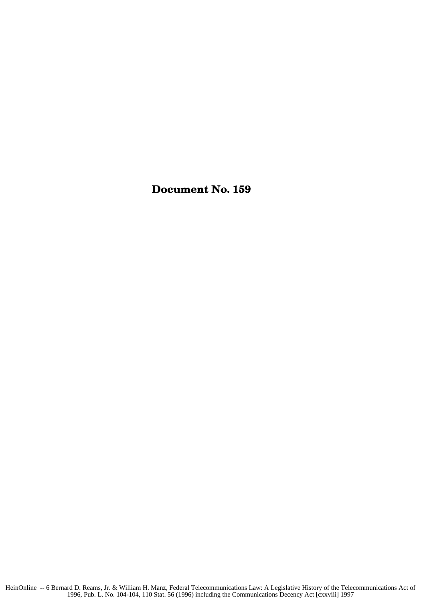Document No. **159**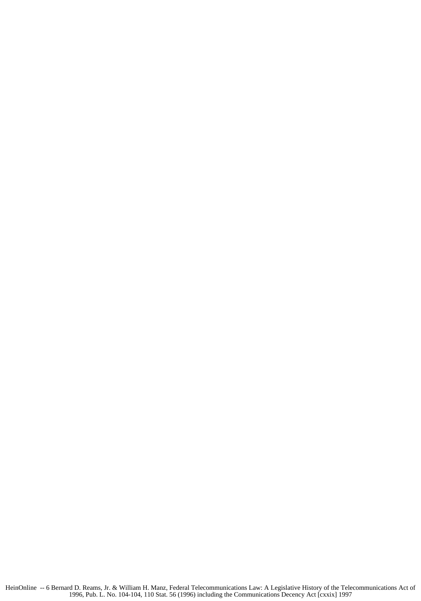HeinOnline -- 6 Bernard D. Reams, Jr. & William H. Manz, Federal Telecommunications Law: A Legislative History of the Telecommunications Act of 1996, Pub. L. No. 104-104, 110 Stat. 56 (1996) including the Communications Decency Act [cxxix] 1997